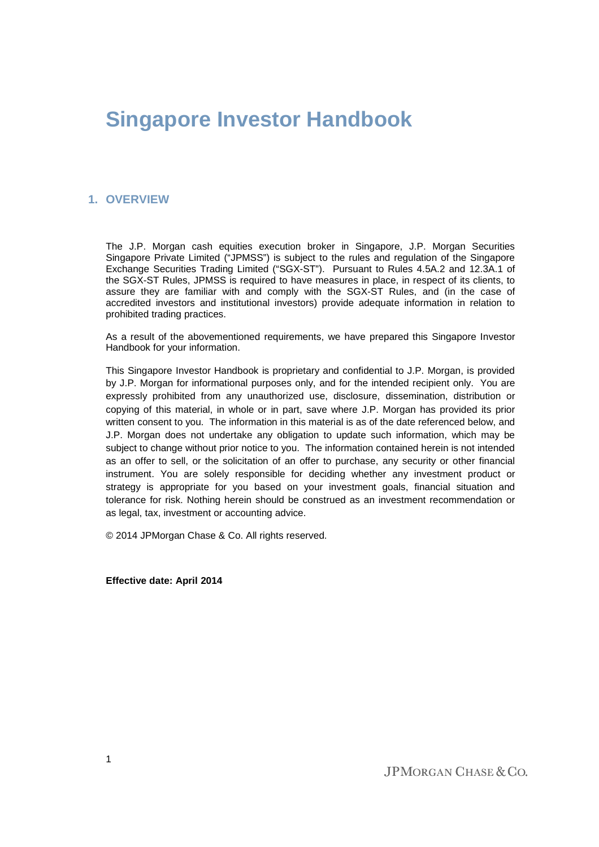# **Singapore Investor Handbook**

# **1. OVERVIEW**

The J.P. Morgan cash equities execution broker in Singapore, J.P. Morgan Securities Singapore Private Limited ("JPMSS") is subject to the rules and regulation of the Singapore Exchange Securities Trading Limited ("SGX-ST"). Pursuant to Rules 4.5A.2 and 12.3A.1 of the SGX-ST Rules, JPMSS is required to have measures in place, in respect of its clients, to assure they are familiar with and comply with the SGX-ST Rules, and (in the case of accredited investors and institutional investors) provide adequate information in relation to prohibited trading practices.

As a result of the abovementioned requirements, we have prepared this Singapore Investor Handbook for your information.

This Singapore Investor Handbook is proprietary and confidential to J.P. Morgan, is provided by J.P. Morgan for informational purposes only, and for the intended recipient only. You are expressly prohibited from any unauthorized use, disclosure, dissemination, distribution or copying of this material, in whole or in part, save where J.P. Morgan has provided its prior written consent to you. The information in this material is as of the date referenced below, and J.P. Morgan does not undertake any obligation to update such information, which may be subject to change without prior notice to you. The information contained herein is not intended as an offer to sell, or the solicitation of an offer to purchase, any security or other financial instrument. You are solely responsible for deciding whether any investment product or strategy is appropriate for you based on your investment goals, financial situation and tolerance for risk. Nothing herein should be construed as an investment recommendation or as legal, tax, investment or accounting advice.

© 2014 JPMorgan Chase & Co. All rights reserved.

**Effective date: April 2014**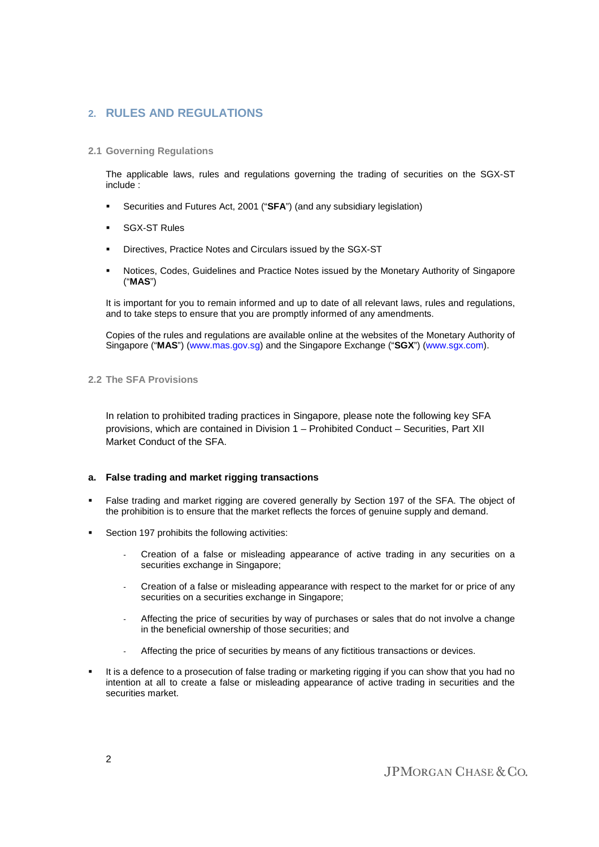# **2. RULES AND REGULATIONS**

# **2.1 Governing Regulations**

The applicable laws, rules and regulations governing the trading of securities on the SGX-ST include :

- Securities and Futures Act, 2001 ("**SFA**") (and any subsidiary legislation)
- SGX-ST Rules
- Directives, Practice Notes and Circulars issued by the SGX-ST
- Notices, Codes, Guidelines and Practice Notes issued by the Monetary Authority of Singapore ("**MAS**")

It is important for you to remain informed and up to date of all relevant laws, rules and regulations, and to take steps to ensure that you are promptly informed of any amendments.

Copies of the rules and regulations are available online at the websites of the Monetary Authority of Singapore ("**MAS**") (www.mas.gov.sg) and the Singapore Exchange ("**SGX**") (www.sgx.com).

# **2.2 The SFA Provisions**

In relation to prohibited trading practices in Singapore, please note the following key SFA provisions, which are contained in Division 1 – Prohibited Conduct – Securities, Part XII Market Conduct of the SFA.

# **a. False trading and market rigging transactions**

- False trading and market rigging are covered generally by Section 197 of the SFA. The object of the prohibition is to ensure that the market reflects the forces of genuine supply and demand.
- Section 197 prohibits the following activities:
	- Creation of a false or misleading appearance of active trading in any securities on a securities exchange in Singapore;
	- Creation of a false or misleading appearance with respect to the market for or price of any securities on a securities exchange in Singapore;
	- Affecting the price of securities by way of purchases or sales that do not involve a change in the beneficial ownership of those securities; and
	- Affecting the price of securities by means of any fictitious transactions or devices.
- It is a defence to a prosecution of false trading or marketing rigging if you can show that you had no intention at all to create a false or misleading appearance of active trading in securities and the securities market.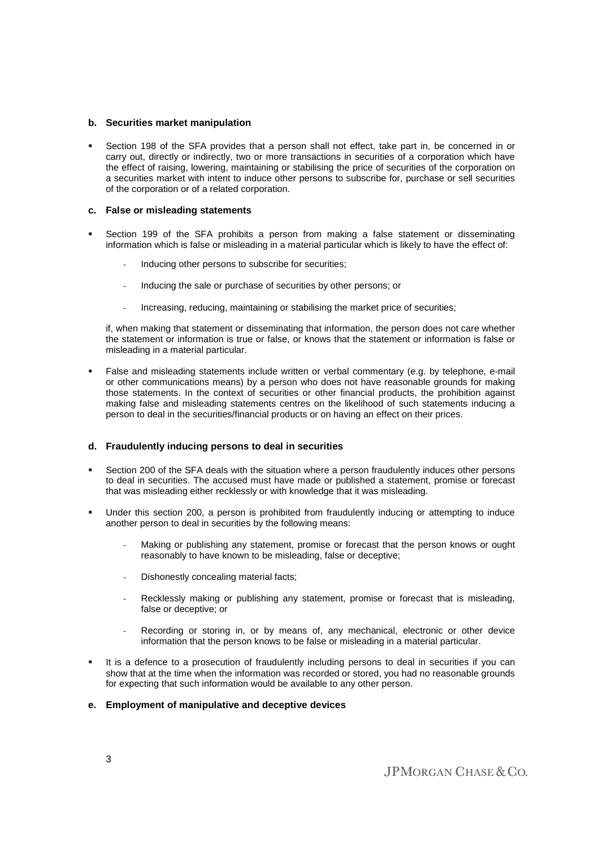#### **b. Securities market manipulation**

 Section 198 of the SFA provides that a person shall not effect, take part in, be concerned in or carry out, directly or indirectly, two or more transactions in securities of a corporation which have the effect of raising, lowering, maintaining or stabilising the price of securities of the corporation on a securities market with intent to induce other persons to subscribe for, purchase or sell securities of the corporation or of a related corporation.

## **c. False or misleading statements**

- Section 199 of the SFA prohibits a person from making a false statement or disseminating information which is false or misleading in a material particular which is likely to have the effect of:
	- Inducing other persons to subscribe for securities;
	- Inducing the sale or purchase of securities by other persons; or
	- Increasing, reducing, maintaining or stabilising the market price of securities;

if, when making that statement or disseminating that information, the person does not care whether the statement or information is true or false, or knows that the statement or information is false or misleading in a material particular.

 False and misleading statements include written or verbal commentary (e.g. by telephone, e-mail or other communications means) by a person who does not have reasonable grounds for making those statements. In the context of securities or other financial products, the prohibition against making false and misleading statements centres on the likelihood of such statements inducing a person to deal in the securities/financial products or on having an effect on their prices.

# **d. Fraudulently inducing persons to deal in securities**

- Section 200 of the SFA deals with the situation where a person fraudulently induces other persons to deal in securities. The accused must have made or published a statement, promise or forecast that was misleading either recklessly or with knowledge that it was misleading.
- Under this section 200, a person is prohibited from fraudulently inducing or attempting to induce another person to deal in securities by the following means:
	- Making or publishing any statement, promise or forecast that the person knows or ought reasonably to have known to be misleading, false or deceptive;
	- Dishonestly concealing material facts:
	- Recklessly making or publishing any statement, promise or forecast that is misleading, false or deceptive; or
	- Recording or storing in, or by means of, any mechanical, electronic or other device information that the person knows to be false or misleading in a material particular.
- It is a defence to a prosecution of fraudulently including persons to deal in securities if you can show that at the time when the information was recorded or stored, you had no reasonable grounds for expecting that such information would be available to any other person.

# **e. Employment of manipulative and deceptive devices**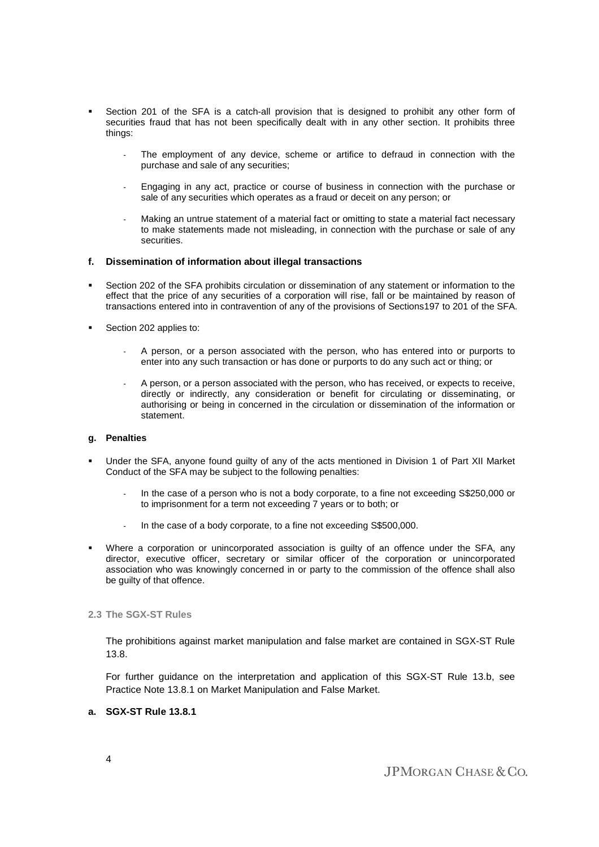- Section 201 of the SFA is a catch-all provision that is designed to prohibit any other form of securities fraud that has not been specifically dealt with in any other section. It prohibits three things:
	- The employment of any device, scheme or artifice to defraud in connection with the purchase and sale of any securities;
	- Engaging in any act, practice or course of business in connection with the purchase or sale of any securities which operates as a fraud or deceit on any person; or
	- Making an untrue statement of a material fact or omitting to state a material fact necessary to make statements made not misleading, in connection with the purchase or sale of any securities.

## **f. Dissemination of information about illegal transactions**

- Section 202 of the SFA prohibits circulation or dissemination of any statement or information to the effect that the price of any securities of a corporation will rise, fall or be maintained by reason of transactions entered into in contravention of any of the provisions of Sections197 to 201 of the SFA.
- Section 202 applies to:
	- A person, or a person associated with the person, who has entered into or purports to enter into any such transaction or has done or purports to do any such act or thing; or
	- A person, or a person associated with the person, who has received, or expects to receive, directly or indirectly, any consideration or benefit for circulating or disseminating, or authorising or being in concerned in the circulation or dissemination of the information or statement.

## **g. Penalties**

- Under the SFA, anyone found guilty of any of the acts mentioned in Division 1 of Part XII Market Conduct of the SFA may be subject to the following penalties:
	- In the case of a person who is not a body corporate, to a fine not exceeding S\$250,000 or to imprisonment for a term not exceeding 7 years or to both; or
	- In the case of a body corporate, to a fine not exceeding S\$500,000.
- Where a corporation or unincorporated association is guilty of an offence under the SFA, any director, executive officer, secretary or similar officer of the corporation or unincorporated association who was knowingly concerned in or party to the commission of the offence shall also be guilty of that offence.

## **2.3 The SGX-ST Rules**

The prohibitions against market manipulation and false market are contained in SGX-ST Rule 13.8.

For further guidance on the interpretation and application of this SGX-ST Rule 13.b, see Practice Note 13.8.1 on Market Manipulation and False Market.

# **a. SGX-ST Rule 13.8.1**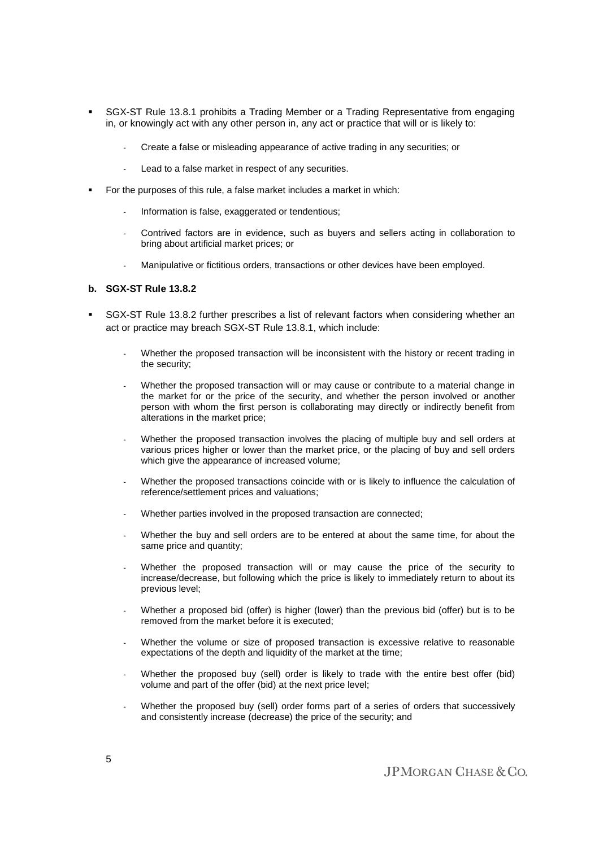- SGX-ST Rule 13.8.1 prohibits a Trading Member or a Trading Representative from engaging in, or knowingly act with any other person in, any act or practice that will or is likely to:
	- Create a false or misleading appearance of active trading in any securities; or
	- Lead to a false market in respect of any securities.
- For the purposes of this rule, a false market includes a market in which:
	- Information is false, exaggerated or tendentious;
	- Contrived factors are in evidence, such as buyers and sellers acting in collaboration to bring about artificial market prices; or
	- Manipulative or fictitious orders, transactions or other devices have been employed.

# **b. SGX-ST Rule 13.8.2**

- SGX-ST Rule 13.8.2 further prescribes a list of relevant factors when considering whether an act or practice may breach SGX-ST Rule 13.8.1, which include:
	- Whether the proposed transaction will be inconsistent with the history or recent trading in the security;
	- Whether the proposed transaction will or may cause or contribute to a material change in the market for or the price of the security, and whether the person involved or another person with whom the first person is collaborating may directly or indirectly benefit from alterations in the market price;
	- Whether the proposed transaction involves the placing of multiple buy and sell orders at various prices higher or lower than the market price, or the placing of buy and sell orders which give the appearance of increased volume;
	- Whether the proposed transactions coincide with or is likely to influence the calculation of reference/settlement prices and valuations;
	- Whether parties involved in the proposed transaction are connected;
	- Whether the buy and sell orders are to be entered at about the same time, for about the same price and quantity;
	- Whether the proposed transaction will or may cause the price of the security to increase/decrease, but following which the price is likely to immediately return to about its previous level;
	- Whether a proposed bid (offer) is higher (lower) than the previous bid (offer) but is to be removed from the market before it is executed;
	- Whether the volume or size of proposed transaction is excessive relative to reasonable expectations of the depth and liquidity of the market at the time;
	- Whether the proposed buy (sell) order is likely to trade with the entire best offer (bid) volume and part of the offer (bid) at the next price level;
	- Whether the proposed buy (sell) order forms part of a series of orders that successively and consistently increase (decrease) the price of the security; and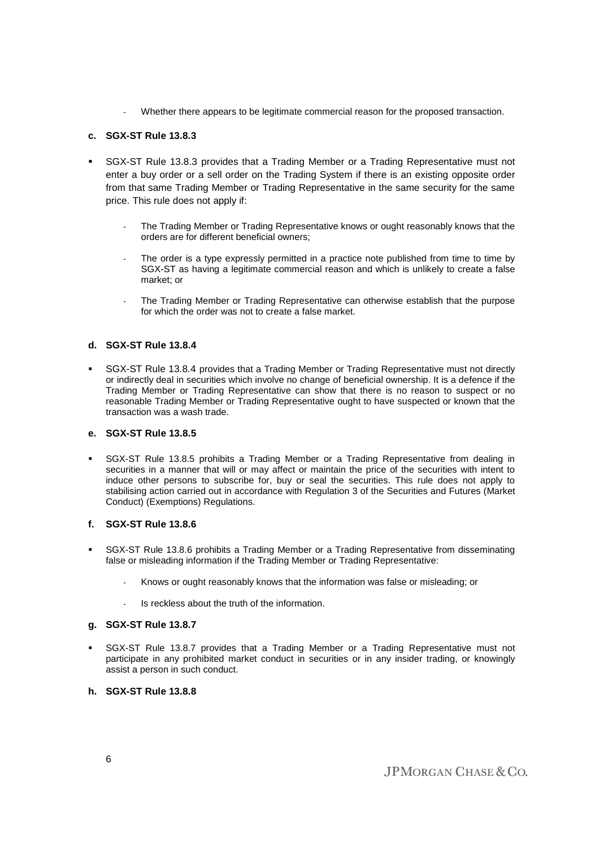Whether there appears to be legitimate commercial reason for the proposed transaction.

# **c. SGX-ST Rule 13.8.3**

- SGX-ST Rule 13.8.3 provides that a Trading Member or a Trading Representative must not enter a buy order or a sell order on the Trading System if there is an existing opposite order from that same Trading Member or Trading Representative in the same security for the same price. This rule does not apply if:
	- The Trading Member or Trading Representative knows or ought reasonably knows that the orders are for different beneficial owners;
	- The order is a type expressly permitted in a practice note published from time to time by SGX-ST as having a legitimate commercial reason and which is unlikely to create a false market; or
	- The Trading Member or Trading Representative can otherwise establish that the purpose for which the order was not to create a false market.

# **d. SGX-ST Rule 13.8.4**

 SGX-ST Rule 13.8.4 provides that a Trading Member or Trading Representative must not directly or indirectly deal in securities which involve no change of beneficial ownership. It is a defence if the Trading Member or Trading Representative can show that there is no reason to suspect or no reasonable Trading Member or Trading Representative ought to have suspected or known that the transaction was a wash trade.

# **e. SGX-ST Rule 13.8.5**

 SGX-ST Rule 13.8.5 prohibits a Trading Member or a Trading Representative from dealing in securities in a manner that will or may affect or maintain the price of the securities with intent to induce other persons to subscribe for, buy or seal the securities. This rule does not apply to stabilising action carried out in accordance with Regulation 3 of the Securities and Futures (Market Conduct) (Exemptions) Regulations.

# **f. SGX-ST Rule 13.8.6**

- SGX-ST Rule 13.8.6 prohibits a Trading Member or a Trading Representative from disseminating false or misleading information if the Trading Member or Trading Representative:
	- Knows or ought reasonably knows that the information was false or misleading; or
	- Is reckless about the truth of the information.

# **g. SGX-ST Rule 13.8.7**

- SGX-ST Rule 13.8.7 provides that a Trading Member or a Trading Representative must not participate in any prohibited market conduct in securities or in any insider trading, or knowingly assist a person in such conduct.
- **h. SGX-ST Rule 13.8.8**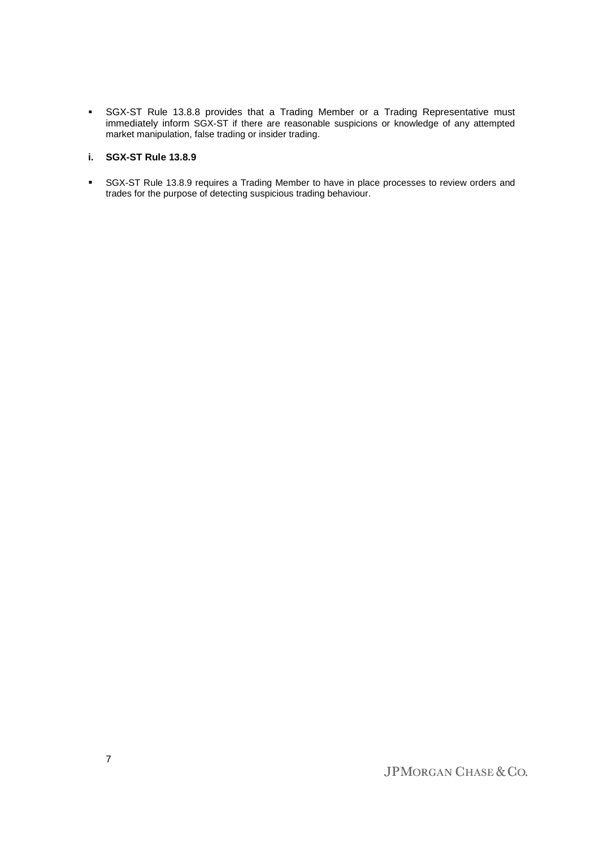SGX-ST Rule 13.8.8 provides that a Trading Member or a Trading Representative must immediately inform SGX-ST if there are reasonable suspicions or knowledge of any attempted market manipulation, false trading or insider trading.

# **i. SGX-ST Rule 13.8.9**

**SGX-ST Rule 13.8.9 requires a Trading Member to have in place processes to review orders and** trades for the purpose of detecting suspicious trading behaviour.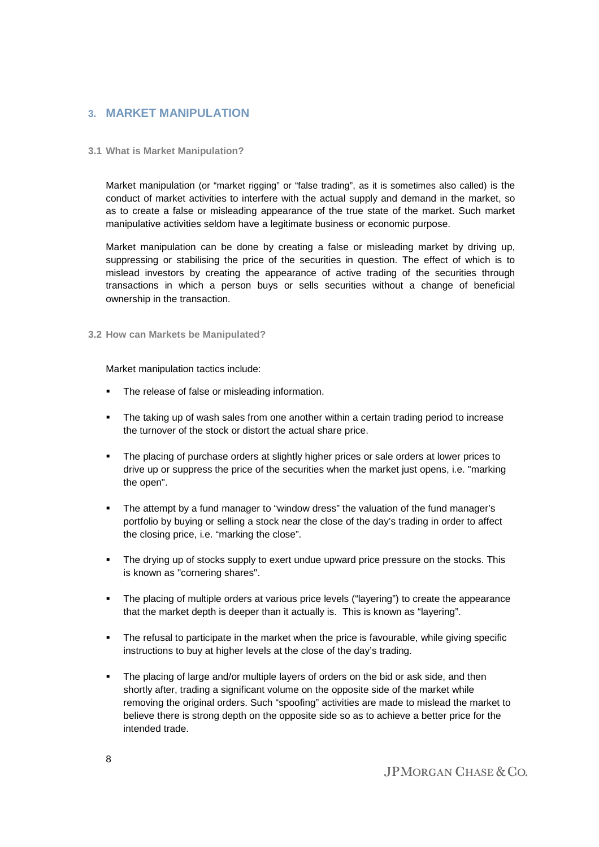# **3. MARKET MANIPULATION**

# **3.1 What is Market Manipulation?**

Market manipulation (or "market rigging" or "false trading", as it is sometimes also called) is the conduct of market activities to interfere with the actual supply and demand in the market, so as to create a false or misleading appearance of the true state of the market. Such market manipulative activities seldom have a legitimate business or economic purpose.

Market manipulation can be done by creating a false or misleading market by driving up, suppressing or stabilising the price of the securities in question. The effect of which is to mislead investors by creating the appearance of active trading of the securities through transactions in which a person buys or sells securities without a change of beneficial ownership in the transaction.

## **3.2 How can Markets be Manipulated?**

Market manipulation tactics include:

- The release of false or misleading information.
- The taking up of wash sales from one another within a certain trading period to increase the turnover of the stock or distort the actual share price.
- The placing of purchase orders at slightly higher prices or sale orders at lower prices to drive up or suppress the price of the securities when the market just opens, i.e. "marking the open".
- The attempt by a fund manager to "window dress" the valuation of the fund manager's portfolio by buying or selling a stock near the close of the day's trading in order to affect the closing price, i.e. "marking the close".
- The drying up of stocks supply to exert undue upward price pressure on the stocks. This is known as "cornering shares".
- The placing of multiple orders at various price levels ("layering") to create the appearance that the market depth is deeper than it actually is. This is known as "layering".
- The refusal to participate in the market when the price is favourable, while giving specific instructions to buy at higher levels at the close of the day's trading.
- The placing of large and/or multiple layers of orders on the bid or ask side, and then shortly after, trading a significant volume on the opposite side of the market while removing the original orders. Such "spoofing" activities are made to mislead the market to believe there is strong depth on the opposite side so as to achieve a better price for the intended trade.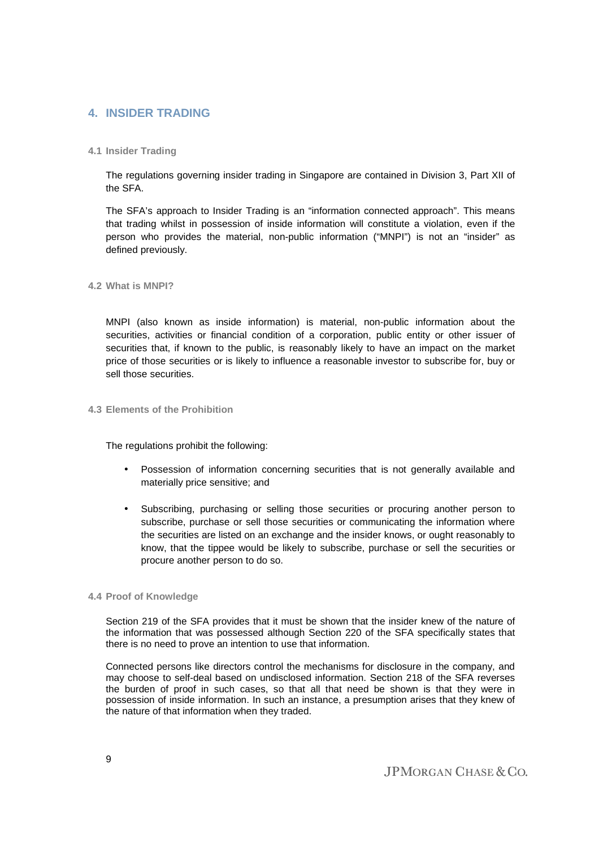# **4. INSIDER TRADING**

# **4.1 Insider Trading**

The regulations governing insider trading in Singapore are contained in Division 3, Part XII of the SFA.

The SFA's approach to Insider Trading is an "information connected approach". This means that trading whilst in possession of inside information will constitute a violation, even if the person who provides the material, non-public information ("MNPI") is not an "insider" as defined previously.

**4.2 What is MNPI?** 

MNPI (also known as inside information) is material, non-public information about the securities, activities or financial condition of a corporation, public entity or other issuer of securities that, if known to the public, is reasonably likely to have an impact on the market price of those securities or is likely to influence a reasonable investor to subscribe for, buy or sell those securities.

# **4.3 Elements of the Prohibition**

The regulations prohibit the following:

- Possession of information concerning securities that is not generally available and materially price sensitive; and
- Subscribing, purchasing or selling those securities or procuring another person to subscribe, purchase or sell those securities or communicating the information where the securities are listed on an exchange and the insider knows, or ought reasonably to know, that the tippee would be likely to subscribe, purchase or sell the securities or procure another person to do so.

#### **4.4 Proof of Knowledge**

Section 219 of the SFA provides that it must be shown that the insider knew of the nature of the information that was possessed although Section 220 of the SFA specifically states that there is no need to prove an intention to use that information.

Connected persons like directors control the mechanisms for disclosure in the company, and may choose to self-deal based on undisclosed information. Section 218 of the SFA reverses the burden of proof in such cases, so that all that need be shown is that they were in possession of inside information. In such an instance, a presumption arises that they knew of the nature of that information when they traded.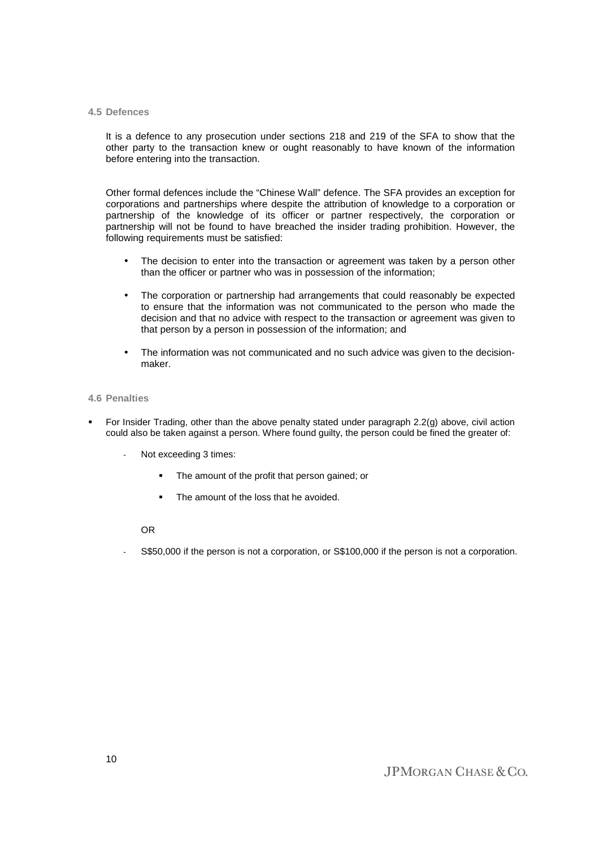#### **4.5 Defences**

It is a defence to any prosecution under sections 218 and 219 of the SFA to show that the other party to the transaction knew or ought reasonably to have known of the information before entering into the transaction.

Other formal defences include the "Chinese Wall" defence. The SFA provides an exception for corporations and partnerships where despite the attribution of knowledge to a corporation or partnership of the knowledge of its officer or partner respectively, the corporation or partnership will not be found to have breached the insider trading prohibition. However, the following requirements must be satisfied:

- The decision to enter into the transaction or agreement was taken by a person other than the officer or partner who was in possession of the information;
- The corporation or partnership had arrangements that could reasonably be expected to ensure that the information was not communicated to the person who made the decision and that no advice with respect to the transaction or agreement was given to that person by a person in possession of the information; and
- The information was not communicated and no such advice was given to the decisionmaker.

#### **4.6 Penalties**

- For Insider Trading, other than the above penalty stated under paragraph 2.2(g) above, civil action could also be taken against a person. Where found guilty, the person could be fined the greater of:
	- Not exceeding 3 times:
		- The amount of the profit that person gained; or
		- The amount of the loss that he avoided.

# OR

S\$50,000 if the person is not a corporation, or S\$100,000 if the person is not a corporation.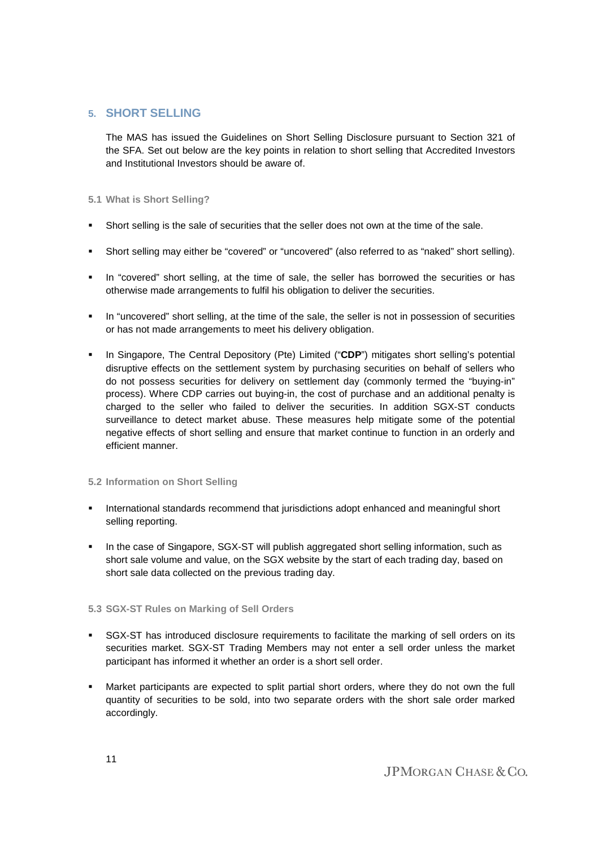# **5. SHORT SELLING**

The MAS has issued the Guidelines on Short Selling Disclosure pursuant to Section 321 of the SFA. Set out below are the key points in relation to short selling that Accredited Investors and Institutional Investors should be aware of.

# **5.1 What is Short Selling?**

- Short selling is the sale of securities that the seller does not own at the time of the sale.
- Short selling may either be "covered" or "uncovered" (also referred to as "naked" short selling).
- **In "covered" short selling, at the time of sale, the seller has borrowed the securities or has** otherwise made arrangements to fulfil his obligation to deliver the securities.
- **IDED** in "uncovered" short selling, at the time of the sale, the seller is not in possession of securities or has not made arrangements to meet his delivery obligation.
- In Singapore, The Central Depository (Pte) Limited ("**CDP**") mitigates short selling's potential disruptive effects on the settlement system by purchasing securities on behalf of sellers who do not possess securities for delivery on settlement day (commonly termed the "buying-in" process). Where CDP carries out buying-in, the cost of purchase and an additional penalty is charged to the seller who failed to deliver the securities. In addition SGX-ST conducts surveillance to detect market abuse. These measures help mitigate some of the potential negative effects of short selling and ensure that market continue to function in an orderly and efficient manner.

# **5.2 Information on Short Selling**

- International standards recommend that jurisdictions adopt enhanced and meaningful short selling reporting.
- **In the case of Singapore, SGX-ST will publish aggregated short selling information, such as** short sale volume and value, on the SGX website by the start of each trading day, based on short sale data collected on the previous trading day.

# **5.3 SGX-ST Rules on Marking of Sell Orders**

- SGX-ST has introduced disclosure requirements to facilitate the marking of sell orders on its securities market. SGX-ST Trading Members may not enter a sell order unless the market participant has informed it whether an order is a short sell order.
- Market participants are expected to split partial short orders, where they do not own the full quantity of securities to be sold, into two separate orders with the short sale order marked accordingly.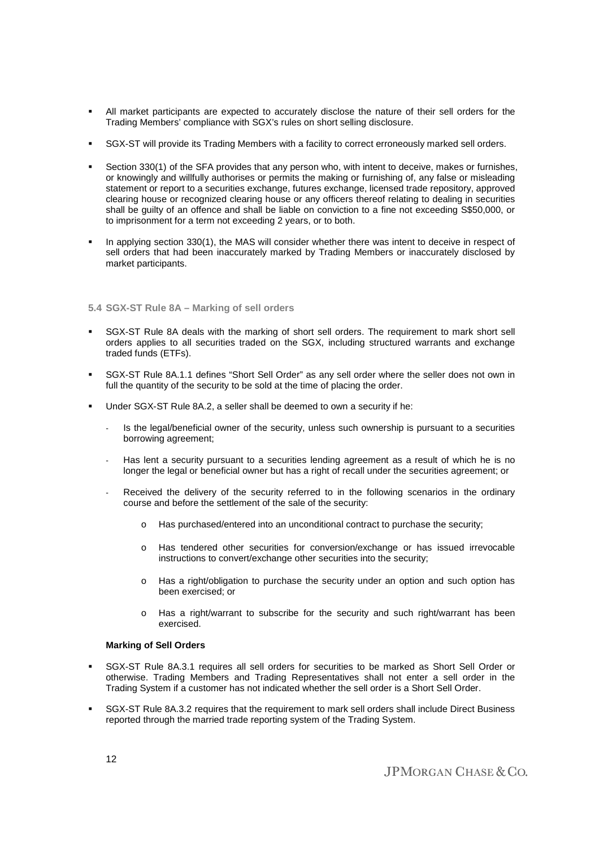- All market participants are expected to accurately disclose the nature of their sell orders for the Trading Members' compliance with SGX's rules on short selling disclosure.
- SGX-ST will provide its Trading Members with a facility to correct erroneously marked sell orders.
- Section 330(1) of the SFA provides that any person who, with intent to deceive, makes or furnishes, or knowingly and willfully authorises or permits the making or furnishing of, any false or misleading statement or report to a securities exchange, futures exchange, licensed trade repository, approved clearing house or recognized clearing house or any officers thereof relating to dealing in securities shall be guilty of an offence and shall be liable on conviction to a fine not exceeding S\$50,000, or to imprisonment for a term not exceeding 2 years, or to both.
- In applying section 330(1), the MAS will consider whether there was intent to deceive in respect of sell orders that had been inaccurately marked by Trading Members or inaccurately disclosed by market participants.

## **5.4 SGX-ST Rule 8A – Marking of sell orders**

- SGX-ST Rule 8A deals with the marking of short sell orders. The requirement to mark short sell orders applies to all securities traded on the SGX, including structured warrants and exchange traded funds (ETFs).
- SGX-ST Rule 8A.1.1 defines "Short Sell Order" as any sell order where the seller does not own in full the quantity of the security to be sold at the time of placing the order.
- Under SGX-ST Rule 8A.2, a seller shall be deemed to own a security if he:
	- Is the legal/beneficial owner of the security, unless such ownership is pursuant to a securities borrowing agreement;
	- Has lent a security pursuant to a securities lending agreement as a result of which he is no longer the legal or beneficial owner but has a right of recall under the securities agreement; or
	- Received the delivery of the security referred to in the following scenarios in the ordinary course and before the settlement of the sale of the security:
		- o Has purchased/entered into an unconditional contract to purchase the security;
		- o Has tendered other securities for conversion/exchange or has issued irrevocable instructions to convert/exchange other securities into the security;
		- o Has a right/obligation to purchase the security under an option and such option has been exercised; or
		- o Has a right/warrant to subscribe for the security and such right/warrant has been exercised.

#### **Marking of Sell Orders**

- SGX-ST Rule 8A.3.1 requires all sell orders for securities to be marked as Short Sell Order or otherwise. Trading Members and Trading Representatives shall not enter a sell order in the Trading System if a customer has not indicated whether the sell order is a Short Sell Order.
- SGX-ST Rule 8A.3.2 requires that the requirement to mark sell orders shall include Direct Business reported through the married trade reporting system of the Trading System.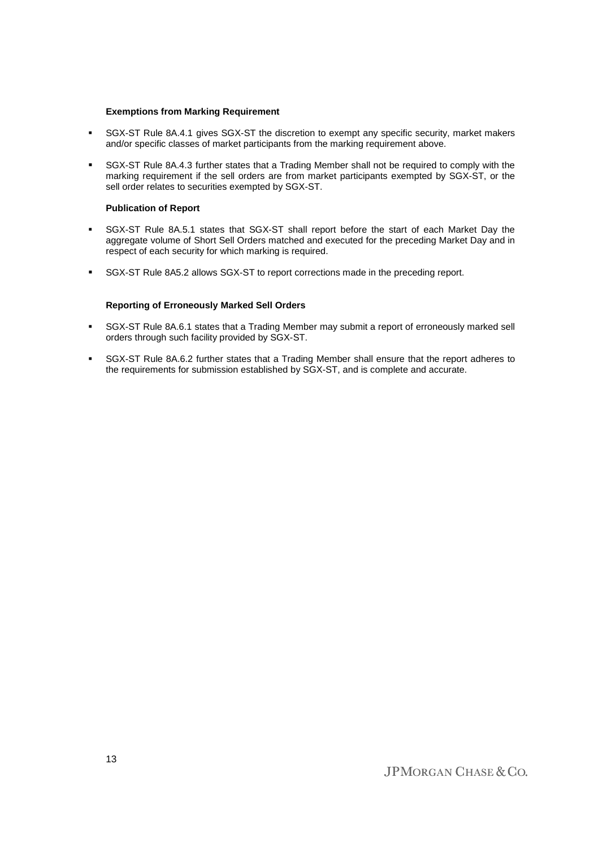#### **Exemptions from Marking Requirement**

- SGX-ST Rule 8A.4.1 gives SGX-ST the discretion to exempt any specific security, market makers and/or specific classes of market participants from the marking requirement above.
- SGX-ST Rule 8A.4.3 further states that a Trading Member shall not be required to comply with the marking requirement if the sell orders are from market participants exempted by SGX-ST, or the sell order relates to securities exempted by SGX-ST.

## **Publication of Report**

- SGX-ST Rule 8A.5.1 states that SGX-ST shall report before the start of each Market Day the aggregate volume of Short Sell Orders matched and executed for the preceding Market Day and in respect of each security for which marking is required.
- **SGX-ST Rule 8A5.2 allows SGX-ST to report corrections made in the preceding report.**

## **Reporting of Erroneously Marked Sell Orders**

- SGX-ST Rule 8A.6.1 states that a Trading Member may submit a report of erroneously marked sell orders through such facility provided by SGX-ST.
- SGX-ST Rule 8A.6.2 further states that a Trading Member shall ensure that the report adheres to the requirements for submission established by SGX-ST, and is complete and accurate.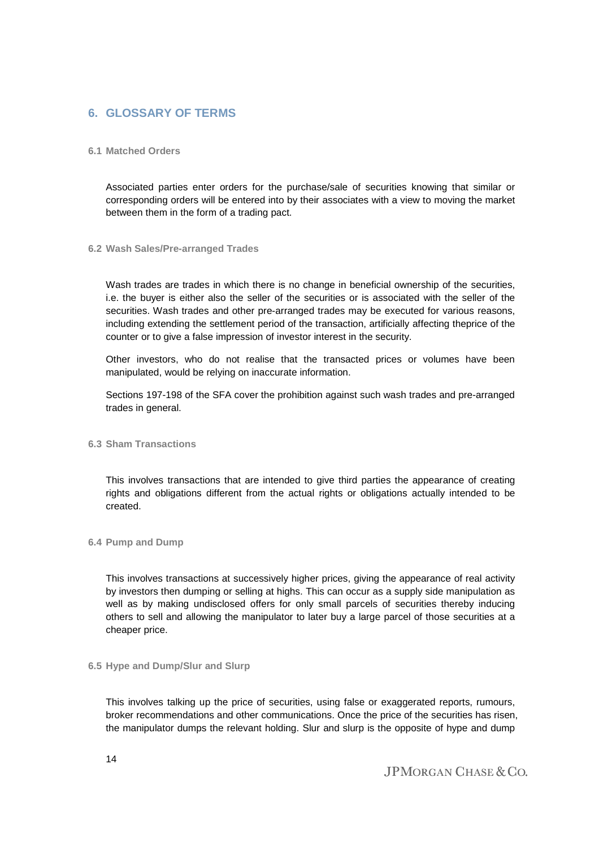# **6. GLOSSARY OF TERMS**

# **6.1 Matched Orders**

Associated parties enter orders for the purchase/sale of securities knowing that similar or corresponding orders will be entered into by their associates with a view to moving the market between them in the form of a trading pact.

## **6.2 Wash Sales/Pre-arranged Trades**

Wash trades are trades in which there is no change in beneficial ownership of the securities, i.e. the buyer is either also the seller of the securities or is associated with the seller of the securities. Wash trades and other pre-arranged trades may be executed for various reasons, including extending the settlement period of the transaction, artificially affecting theprice of the counter or to give a false impression of investor interest in the security.

Other investors, who do not realise that the transacted prices or volumes have been manipulated, would be relying on inaccurate information.

Sections 197-198 of the SFA cover the prohibition against such wash trades and pre-arranged trades in general.

# **6.3 Sham Transactions**

This involves transactions that are intended to give third parties the appearance of creating rights and obligations different from the actual rights or obligations actually intended to be created.

# **6.4 Pump and Dump**

This involves transactions at successively higher prices, giving the appearance of real activity by investors then dumping or selling at highs. This can occur as a supply side manipulation as well as by making undisclosed offers for only small parcels of securities thereby inducing others to sell and allowing the manipulator to later buy a large parcel of those securities at a cheaper price.

# **6.5 Hype and Dump/Slur and Slurp**

This involves talking up the price of securities, using false or exaggerated reports, rumours, broker recommendations and other communications. Once the price of the securities has risen, the manipulator dumps the relevant holding. Slur and slurp is the opposite of hype and dump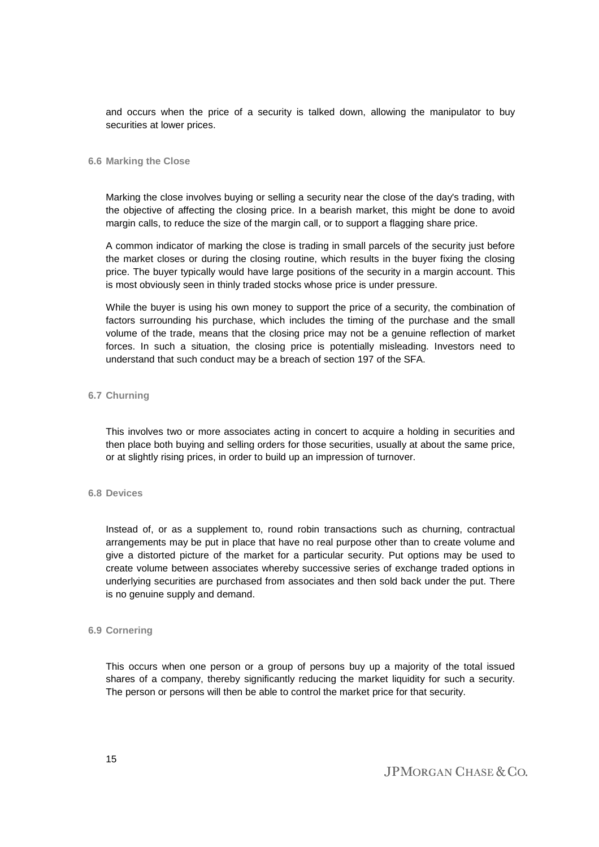and occurs when the price of a security is talked down, allowing the manipulator to buy securities at lower prices.

#### **6.6 Marking the Close**

Marking the close involves buying or selling a security near the close of the day's trading, with the objective of affecting the closing price. In a bearish market, this might be done to avoid margin calls, to reduce the size of the margin call, or to support a flagging share price.

A common indicator of marking the close is trading in small parcels of the security just before the market closes or during the closing routine, which results in the buyer fixing the closing price. The buyer typically would have large positions of the security in a margin account. This is most obviously seen in thinly traded stocks whose price is under pressure.

While the buyer is using his own money to support the price of a security, the combination of factors surrounding his purchase, which includes the timing of the purchase and the small volume of the trade, means that the closing price may not be a genuine reflection of market forces. In such a situation, the closing price is potentially misleading. Investors need to understand that such conduct may be a breach of section 197 of the SFA.

# **6.7 Churning**

This involves two or more associates acting in concert to acquire a holding in securities and then place both buying and selling orders for those securities, usually at about the same price, or at slightly rising prices, in order to build up an impression of turnover.

## **6.8 Devices**

Instead of, or as a supplement to, round robin transactions such as churning, contractual arrangements may be put in place that have no real purpose other than to create volume and give a distorted picture of the market for a particular security. Put options may be used to create volume between associates whereby successive series of exchange traded options in underlying securities are purchased from associates and then sold back under the put. There is no genuine supply and demand.

#### **6.9 Cornering**

This occurs when one person or a group of persons buy up a majority of the total issued shares of a company, thereby significantly reducing the market liquidity for such a security. The person or persons will then be able to control the market price for that security.